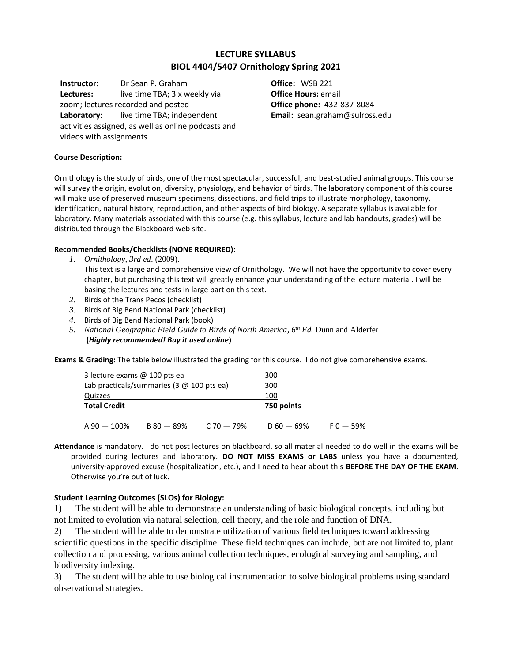# **LECTURE SYLLABUS BIOL 4404/5407 Ornithology Spring 2021**

**Instructor:** Dr Sean P. Graham **Lectures:** live time TBA; 3 x weekly via zoom; lectures recorded and posted **Laboratory:** live time TBA; independent activities assigned, as well as online podcasts and videos with assignments

**Office:** WSB 221 **Office Hours:** email **Office phone:** 432-837-8084 **Email:** sean.graham@sulross.edu

#### **Course Description:**

Ornithology is the study of birds, one of the most spectacular, successful, and best-studied animal groups. This course will survey the origin, evolution, diversity, physiology, and behavior of birds. The laboratory component of this course will make use of preserved museum specimens, dissections, and field trips to illustrate morphology, taxonomy, identification, natural history, reproduction, and other aspects of bird biology. A separate syllabus is available for laboratory. Many materials associated with this course (e.g. this syllabus, lecture and lab handouts, grades) will be distributed through the Blackboard web site.

#### **Recommended Books/Checklists (NONE REQUIRED):**

- *1. Ornithology, 3rd ed*. (2009). This text is a large and comprehensive view of Ornithology. We will not have the opportunity to cover every chapter, but purchasing this text will greatly enhance your understanding of the lecture material. I will be basing the lectures and tests in large part on this text.
- *2.* Birds of the Trans Pecos (checklist)
- *3.* Birds of Big Bend National Park (checklist)
- *4.* Birds of Big Bend National Park (book)
- *5. National Geographic Field Guide to Birds of North America, 6th Ed.* Dunn and Alderfer **(***Highly recommended! Buy it used online***)**

**Exams & Grading:** The table below illustrated the grading for this course. I do not give comprehensive exams.

| 3 lecture exams @ 100 pts ea                     |            | 300            |              |             |
|--------------------------------------------------|------------|----------------|--------------|-------------|
| Lab practicals/summaries (3 $\varpi$ 100 pts ea) |            |                | 300          |             |
| Quizzes                                          |            |                | 100          |             |
| <b>Total Credit</b>                              |            |                | 750 points   |             |
| A 90 — 100%                                      | B 80 - 89% | $C$ 70 $-$ 79% | $D 60 - 69%$ | $F_0 - 59%$ |

**Attendance** is mandatory. I do not post lectures on blackboard, so all material needed to do well in the exams will be provided during lectures and laboratory. **DO NOT MISS EXAMS or LABS** unless you have a documented, university-approved excuse (hospitalization, etc.), and I need to hear about this **BEFORE THE DAY OF THE EXAM**. Otherwise you're out of luck.

#### **Student Learning Outcomes (SLOs) for Biology:**

1) The student will be able to demonstrate an understanding of basic biological concepts, including but not limited to evolution via natural selection, cell theory, and the role and function of DNA.

2) The student will be able to demonstrate utilization of various field techniques toward addressing scientific questions in the specific discipline. These field techniques can include, but are not limited to, plant collection and processing, various animal collection techniques, ecological surveying and sampling, and biodiversity indexing.

3) The student will be able to use biological instrumentation to solve biological problems using standard observational strategies.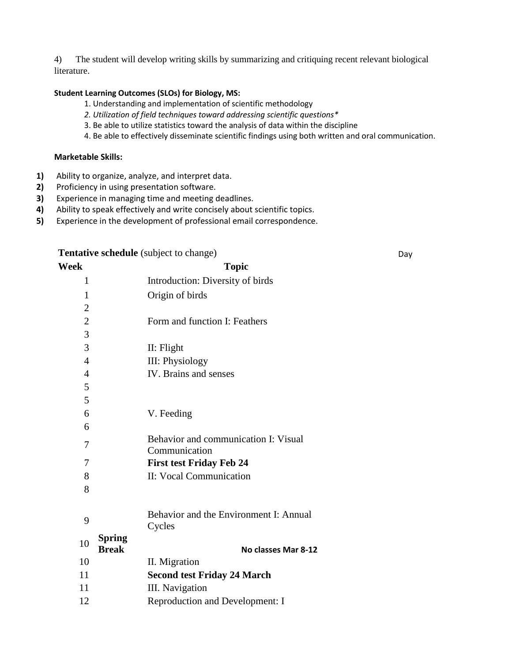4) The student will develop writing skills by summarizing and critiquing recent relevant biological literature.

### **Student Learning Outcomes (SLOs) for Biology, MS:**

- 1. Understanding and implementation of scientific methodology
- *2. Utilization of field techniques toward addressing scientific questions\**
- 3. Be able to utilize statistics toward the analysis of data within the discipline
- 4. Be able to effectively disseminate scientific findings using both written and oral communication.

#### **Marketable Skills:**

- **1)** Ability to organize, analyze, and interpret data.
- **2)** Proficiency in using presentation software.<br>**3)** Experience in managing time and meeting of
- **3)** Experience in managing time and meeting deadlines.
- **4)** Ability to speak effectively and write concisely about scientific topics.
- **5)** Experience in the development of professional email correspondence.

| Tentative schedule (subject to change) |               |                                                  | Day |
|----------------------------------------|---------------|--------------------------------------------------|-----|
| Week                                   |               | <b>Topic</b>                                     |     |
| 1                                      |               | Introduction: Diversity of birds                 |     |
| $\mathbf{1}$                           |               | Origin of birds                                  |     |
| $\overline{2}$                         |               |                                                  |     |
| $\overline{2}$                         |               | Form and function I: Feathers                    |     |
| 3                                      |               |                                                  |     |
| 3                                      |               | II: Flight                                       |     |
| $\overline{4}$                         |               | III: Physiology                                  |     |
| $\overline{4}$                         |               | IV. Brains and senses                            |     |
| 5                                      |               |                                                  |     |
| 5                                      |               |                                                  |     |
| 6                                      |               | V. Feeding                                       |     |
| 6                                      |               |                                                  |     |
| 7                                      |               | Behavior and communication I: Visual             |     |
|                                        |               | Communication                                    |     |
| 7                                      |               | <b>First test Friday Feb 24</b>                  |     |
| 8                                      |               | II: Vocal Communication                          |     |
| 8                                      |               |                                                  |     |
| 9                                      |               | Behavior and the Environment I: Annual<br>Cycles |     |
| 10                                     | <b>Spring</b> |                                                  |     |
| 10                                     | <b>Break</b>  | No classes Mar 8-12                              |     |
| 11                                     |               | II. Migration                                    |     |
| 11                                     |               | <b>Second test Friday 24 March</b>               |     |
|                                        |               | III. Navigation                                  |     |
| 12                                     |               | Reproduction and Development: I                  |     |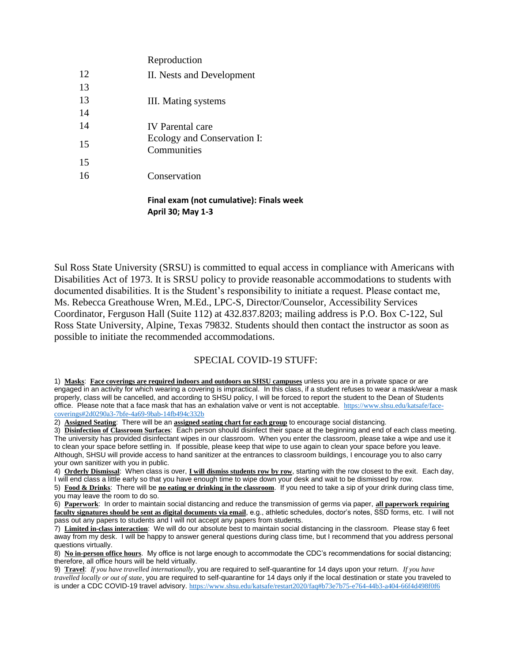|    | Final exam (not cumulative): Finals week   |
|----|--------------------------------------------|
| 16 | Conservation                               |
| 15 |                                            |
| 15 | Ecology and Conservation I:<br>Communities |
| 14 | <b>IV</b> Parental care                    |
| 14 |                                            |
| 13 | III. Mating systems                        |
| 13 |                                            |
| 12 | II. Nests and Development                  |
|    | Reproduction                               |

**April 30; May 1-3**

Sul Ross State University (SRSU) is committed to equal access in compliance with Americans with Disabilities Act of 1973. It is SRSU policy to provide reasonable accommodations to students with documented disabilities. It is the Student's responsibility to initiate a request. Please contact me, Ms. Rebecca Greathouse Wren, M.Ed., LPC-S, Director/Counselor, Accessibility Services Coordinator, Ferguson Hall (Suite 112) at 432.837.8203; mailing address is P.O. Box C-122, Sul Ross State University, Alpine, Texas 79832. Students should then contact the instructor as soon as possible to initiate the recommended accommodations.

## SPECIAL COVID-19 STUFF:

1) **Masks**: **Face coverings are required indoors and outdoors on SHSU campuses** unless you are in a private space or are engaged in an activity for which wearing a covering is impractical. In this class, if a student refuses to wear a mask/wear a mask properly, class will be cancelled, and according to SHSU policy, I will be forced to report the student to the Dean of Students office. Please note that a face mask that has an exhalation valve or vent is not acceptable. [https://www.shsu.edu/katsafe/face](https://www.shsu.edu/katsafe/face-coverings%232d0290a3-7bfe-4a69-9bab-14fb494c332b)[coverings#2d0290a3-7bfe-4a69-9bab-14fb494c332b](https://www.shsu.edu/katsafe/face-coverings%232d0290a3-7bfe-4a69-9bab-14fb494c332b)

2) **Assigned Seating**: There will be an **assigned seating chart for each group** to encourage social distancing.

3) **Disinfection of Classroom Surfaces**: Each person should disinfect their space at the beginning and end of each class meeting. The university has provided disinfectant wipes in our classroom. When you enter the classroom, please take a wipe and use it to clean your space before settling in. If possible, please keep that wipe to use again to clean your space before you leave. Although, SHSU will provide access to hand sanitizer at the entrances to classroom buildings, I encourage you to also carry your own sanitizer with you in public.

4) **Orderly Dismissal**: When class is over, **I will dismiss students row by row**, starting with the row closest to the exit. Each day, I will end class a little early so that you have enough time to wipe down your desk and wait to be dismissed by row.

5) **Food & Drinks**: There will be **no eating or drinking in the classroom**. If you need to take a sip of your drink during class time, you may leave the room to do so.

6) **Paperwork**: In order to maintain social distancing and reduce the transmission of germs via paper, **all paperwork requiring faculty signatures should be sent as digital documents via email**, e.g., athletic schedules, doctor's notes, SSD forms, etc. I will not pass out any papers to students and I will not accept any papers from students.

7) **Limited in-class interaction**: We will do our absolute best to maintain social distancing in the classroom. Please stay 6 feet away from my desk. I will be happy to answer general questions during class time, but I recommend that you address personal questions virtually.

8) **No in-person office hours**. My office is not large enough to accommodate the CDC's recommendations for social distancing; therefore, all office hours will be held virtually.

9) **Travel**: *If you have travelled internationally*, you are required to self-quarantine for 14 days upon your return. *If you have travelled locally or out of state*, you are required to self-quarantine for 14 days only if the local destination or state you traveled to is under a CDC COVID-19 travel advisory. [https://www.shsu.edu/katsafe/restart2020/faq#b73e7b75-e764-44b3-a404-66f4d498f0f6](https://www.shsu.edu/katsafe/restart2020/faq%23b73e7b75-e764-44b3-a404-66f4d498f0f6)